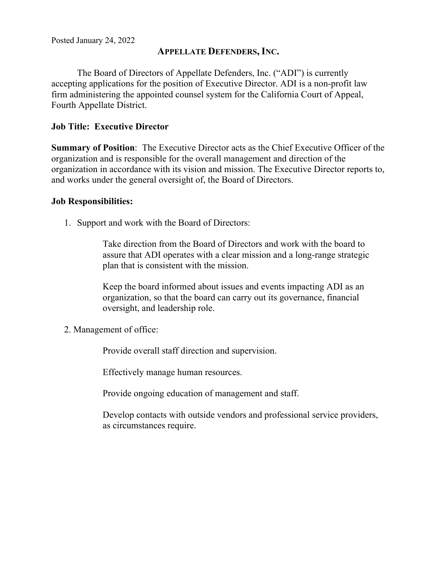### **APPELLATE DEFENDERS,INC.**

The Board of Directors of Appellate Defenders, Inc. ("ADI") is currently accepting applications for the position of Executive Director. ADI is a non-profit law firm administering the appointed counsel system for the California Court of Appeal, Fourth Appellate District.

### **Job Title: Executive Director**

**Summary of Position**: The Executive Director acts as the Chief Executive Officer of the organization and is responsible for the overall management and direction of the organization in accordance with its vision and mission. The Executive Director reports to, and works under the general oversight of, the Board of Directors.

### **Job Responsibilities:**

1. Support and work with the Board of Directors:

Take direction from the Board of Directors and work with the board to assure that ADI operates with a clear mission and a long-range strategic plan that is consistent with the mission.

Keep the board informed about issues and events impacting ADI as an organization, so that the board can carry out its governance, financial oversight, and leadership role.

2. Management of office:

Provide overall staff direction and supervision.

Effectively manage human resources.

Provide ongoing education of management and staff.

Develop contacts with outside vendors and professional service providers, as circumstances require.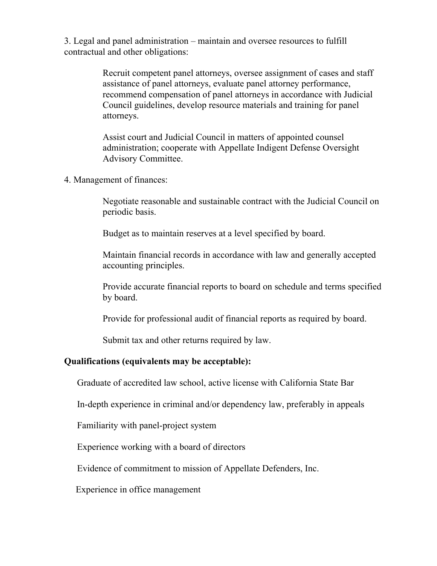3. Legal and panel administration – maintain and oversee resources to fulfill contractual and other obligations:

> Recruit competent panel attorneys, oversee assignment of cases and staff assistance of panel attorneys, evaluate panel attorney performance, recommend compensation of panel attorneys in accordance with Judicial Council guidelines, develop resource materials and training for panel attorneys.

Assist court and Judicial Council in matters of appointed counsel administration; cooperate with Appellate Indigent Defense Oversight Advisory Committee.

4. Management of finances:

Negotiate reasonable and sustainable contract with the Judicial Council on periodic basis.

Budget as to maintain reserves at a level specified by board.

Maintain financial records in accordance with law and generally accepted accounting principles.

Provide accurate financial reports to board on schedule and terms specified by board.

Provide for professional audit of financial reports as required by board.

Submit tax and other returns required by law.

### **Qualifications (equivalents may be acceptable):**

Graduate of accredited law school, active license with California State Bar

In-depth experience in criminal and/or dependency law, preferably in appeals

Familiarity with panel-project system

Experience working with a board of directors

Evidence of commitment to mission of Appellate Defenders, Inc.

Experience in office management